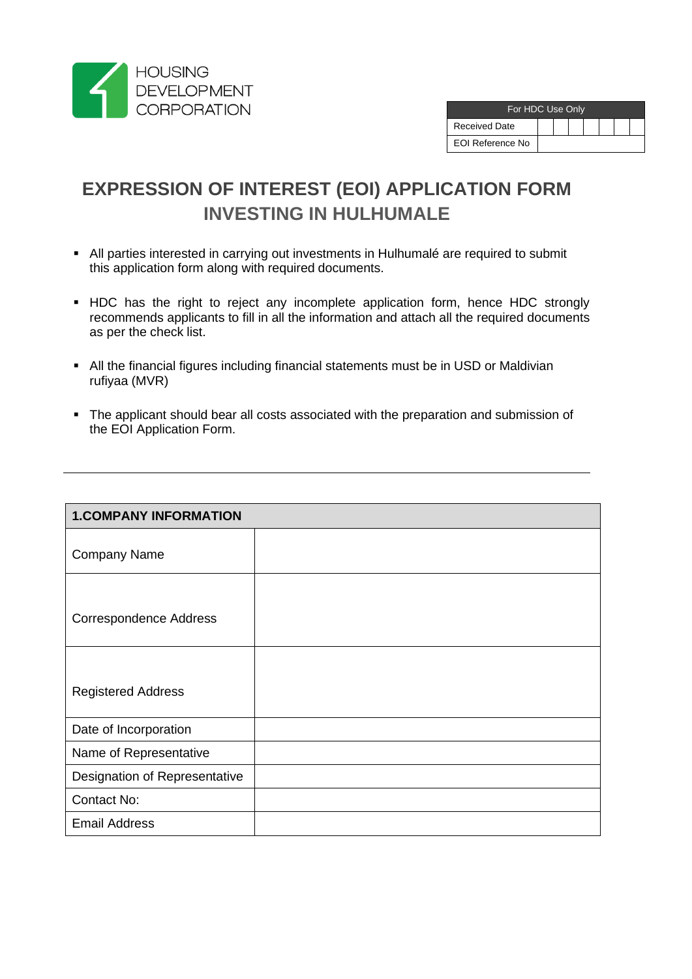

| For HDC Use Only     |  |  |  |  |  |  |
|----------------------|--|--|--|--|--|--|
| <b>Received Date</b> |  |  |  |  |  |  |
| EOI Reference No     |  |  |  |  |  |  |

# **EXPRESSION OF INTEREST (EOI) APPLICATION FORM INVESTING IN HULHUMALE**

- All parties interested in carrying out investments in Hulhumalé are required to submit this application form along with required documents.
- HDC has the right to reject any incomplete application form, hence HDC strongly recommends applicants to fill in all the information and attach all the required documents as per the check list.
- All the financial figures including financial statements must be in USD or Maldivian rufiyaa (MVR)
- **The applicant should bear all costs associated with the preparation and submission of** the EOI Application Form.

| <b>1.COMPANY INFORMATION</b>  |  |  |  |
|-------------------------------|--|--|--|
| <b>Company Name</b>           |  |  |  |
|                               |  |  |  |
| <b>Correspondence Address</b> |  |  |  |
|                               |  |  |  |
| <b>Registered Address</b>     |  |  |  |
| Date of Incorporation         |  |  |  |
| Name of Representative        |  |  |  |
| Designation of Representative |  |  |  |
| <b>Contact No:</b>            |  |  |  |
| <b>Email Address</b>          |  |  |  |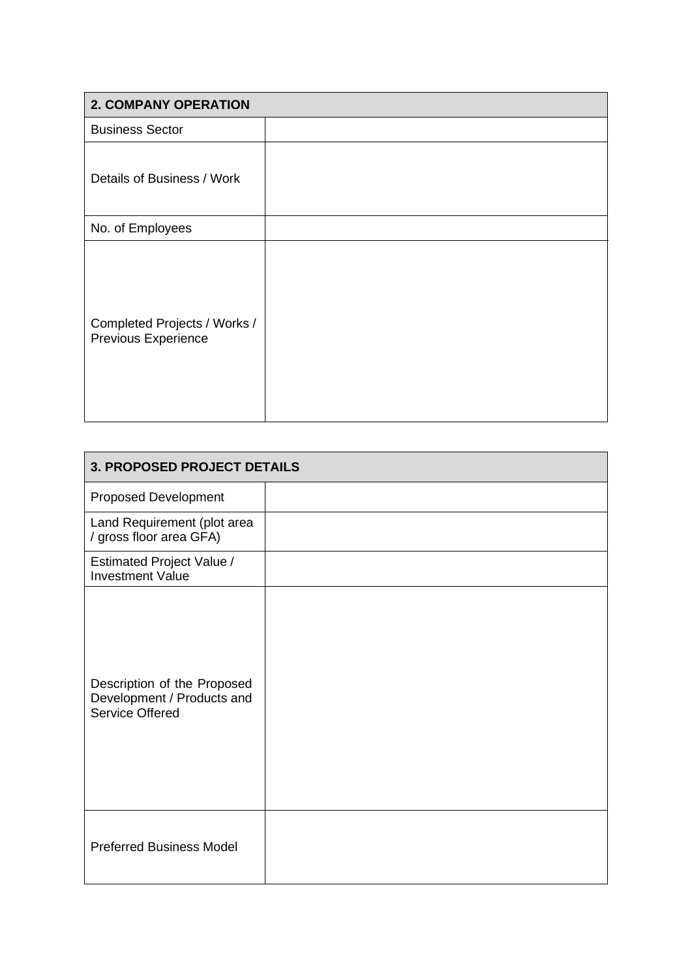| <b>2. COMPANY OPERATION</b>                         |  |
|-----------------------------------------------------|--|
| <b>Business Sector</b>                              |  |
| Details of Business / Work                          |  |
| No. of Employees                                    |  |
| Completed Projects / Works /<br>Previous Experience |  |

| <b>3. PROPOSED PROJECT DETAILS</b>                                                  |  |  |  |
|-------------------------------------------------------------------------------------|--|--|--|
| <b>Proposed Development</b>                                                         |  |  |  |
| Land Requirement (plot area<br>/ gross floor area GFA)                              |  |  |  |
| Estimated Project Value /<br><b>Investment Value</b>                                |  |  |  |
| Description of the Proposed<br>Development / Products and<br><b>Service Offered</b> |  |  |  |
| <b>Preferred Business Model</b>                                                     |  |  |  |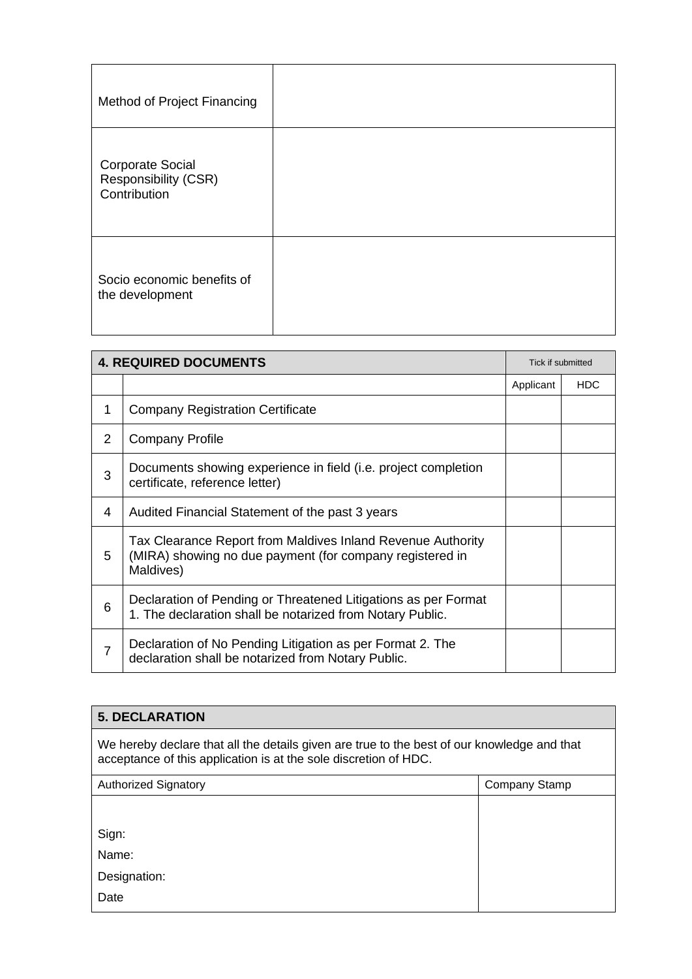| Method of Project Financing                                            |  |
|------------------------------------------------------------------------|--|
| <b>Corporate Social</b><br><b>Responsibility (CSR)</b><br>Contribution |  |
| Socio economic benefits of<br>the development                          |  |

| <b>4. REQUIRED DOCUMENTS</b> |                                                                                                                                      | Tick if submitted |            |
|------------------------------|--------------------------------------------------------------------------------------------------------------------------------------|-------------------|------------|
|                              |                                                                                                                                      | Applicant         | <b>HDC</b> |
| $\mathbf{1}$                 | <b>Company Registration Certificate</b>                                                                                              |                   |            |
| $\overline{2}$               | <b>Company Profile</b>                                                                                                               |                   |            |
| 3                            | Documents showing experience in field (i.e. project completion<br>certificate, reference letter)                                     |                   |            |
| 4                            | Audited Financial Statement of the past 3 years                                                                                      |                   |            |
| 5                            | Tax Clearance Report from Maldives Inland Revenue Authority<br>(MIRA) showing no due payment (for company registered in<br>Maldives) |                   |            |
| 6                            | Declaration of Pending or Threatened Litigations as per Format<br>1. The declaration shall be notarized from Notary Public.          |                   |            |
| 7                            | Declaration of No Pending Litigation as per Format 2. The<br>declaration shall be notarized from Notary Public.                      |                   |            |

| <b>5. DECLARATION</b>                                                                                                                                           |               |  |  |
|-----------------------------------------------------------------------------------------------------------------------------------------------------------------|---------------|--|--|
| We hereby declare that all the details given are true to the best of our knowledge and that<br>acceptance of this application is at the sole discretion of HDC. |               |  |  |
| <b>Authorized Signatory</b>                                                                                                                                     | Company Stamp |  |  |
|                                                                                                                                                                 |               |  |  |
| Sign:                                                                                                                                                           |               |  |  |
| Name:                                                                                                                                                           |               |  |  |
| Designation:                                                                                                                                                    |               |  |  |
| Date                                                                                                                                                            |               |  |  |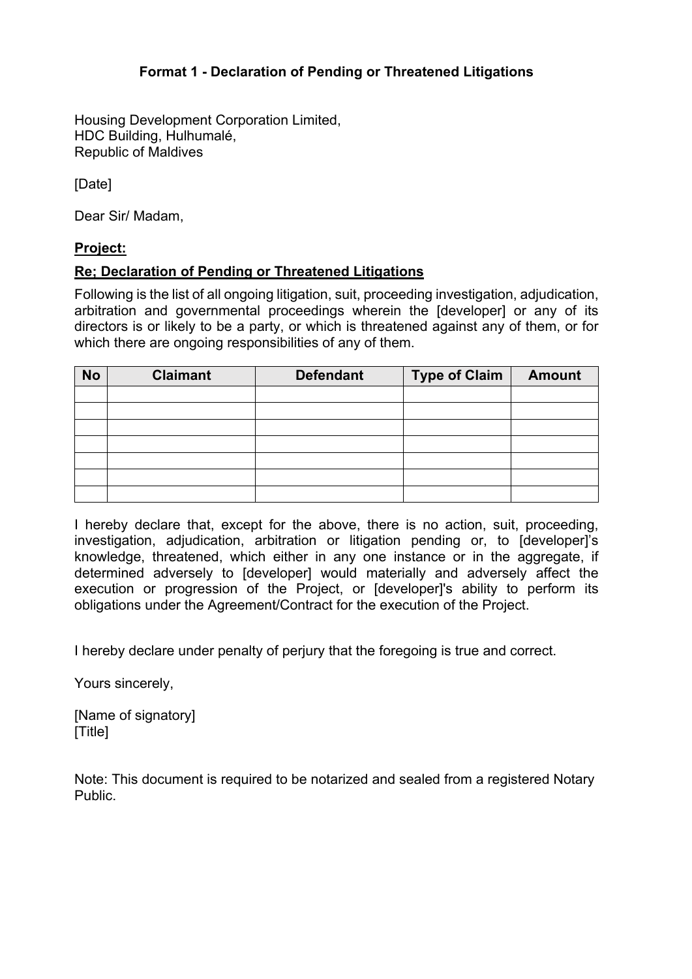#### **Format 1 - Declaration of Pending or Threatened Litigations**

Housing Development Corporation Limited, HDC Building, Hulhumalé, Republic of Maldives

[Date]

Dear Sir/ Madam,

#### **Project:**

#### **Re; Declaration of Pending or Threatened Litigations**

Following is the list of all ongoing litigation, suit, proceeding investigation, adjudication, arbitration and governmental proceedings wherein the [developer] or any of its directors is or likely to be a party, or which is threatened against any of them, or for which there are ongoing responsibilities of any of them.

| <b>No</b> | <b>Claimant</b> | <b>Defendant</b> | <b>Type of Claim</b> | <b>Amount</b> |
|-----------|-----------------|------------------|----------------------|---------------|
|           |                 |                  |                      |               |
|           |                 |                  |                      |               |
|           |                 |                  |                      |               |
|           |                 |                  |                      |               |
|           |                 |                  |                      |               |
|           |                 |                  |                      |               |
|           |                 |                  |                      |               |

I hereby declare that, except for the above, there is no action, suit, proceeding, investigation, adjudication, arbitration or litigation pending or, to [developer]'s knowledge, threatened, which either in any one instance or in the aggregate, if determined adversely to [developer] would materially and adversely affect the execution or progression of the Project, or [developer]'s ability to perform its obligations under the Agreement/Contract for the execution of the Project.

I hereby declare under penalty of perjury that the foregoing is true and correct.

Yours sincerely,

[Name of signatory] [Title]

Note: This document is required to be notarized and sealed from a registered Notary Public.